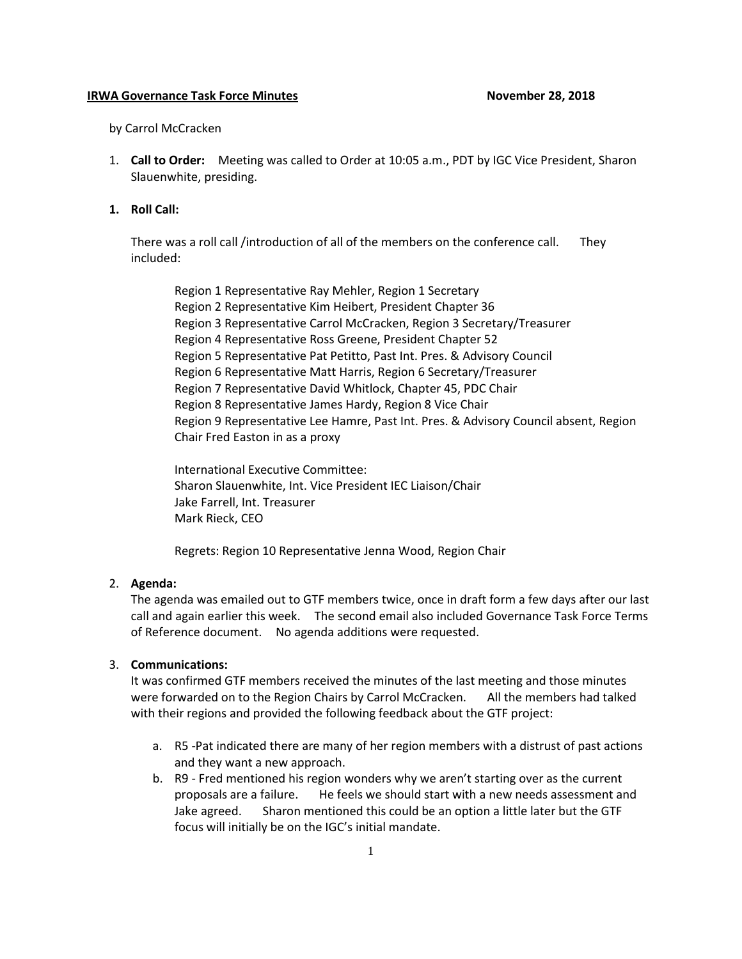#### **IRWA Governance Task Force Minutes November 28, 2018**

by Carrol McCracken

- 1. **Call to Order:** Meeting was called to Order at 10:05 a.m., PDT by IGC Vice President, Sharon Slauenwhite, presiding.
- **1. Roll Call:**

There was a roll call /introduction of all of the members on the conference call. They included:

Region 1 Representative Ray Mehler, Region 1 Secretary Region 2 Representative Kim Heibert, President Chapter 36 Region 3 Representative Carrol McCracken, Region 3 Secretary/Treasurer Region 4 Representative Ross Greene, President Chapter 52 Region 5 Representative Pat Petitto, Past Int. Pres. & Advisory Council Region 6 Representative Matt Harris, Region 6 Secretary/Treasurer Region 7 Representative David Whitlock, Chapter 45, PDC Chair Region 8 Representative James Hardy, Region 8 Vice Chair Region 9 Representative Lee Hamre, Past Int. Pres. & Advisory Council absent, Region Chair Fred Easton in as a proxy

International Executive Committee: Sharon Slauenwhite, Int. Vice President IEC Liaison/Chair Jake Farrell, Int. Treasurer Mark Rieck, CEO

Regrets: Region 10 Representative Jenna Wood, Region Chair

#### 2. **Agenda:**

The agenda was emailed out to GTF members twice, once in draft form a few days after our last call and again earlier this week. The second email also included Governance Task Force Terms of Reference document. No agenda additions were requested.

# 3. **Communications:**

It was confirmed GTF members received the minutes of the last meeting and those minutes were forwarded on to the Region Chairs by Carrol McCracken. All the members had talked with their regions and provided the following feedback about the GTF project:

- a. R5 -Pat indicated there are many of her region members with a distrust of past actions and they want a new approach.
- b. R9 Fred mentioned his region wonders why we aren't starting over as the current proposals are a failure. He feels we should start with a new needs assessment and Jake agreed. Sharon mentioned this could be an option a little later but the GTF focus will initially be on the IGC's initial mandate.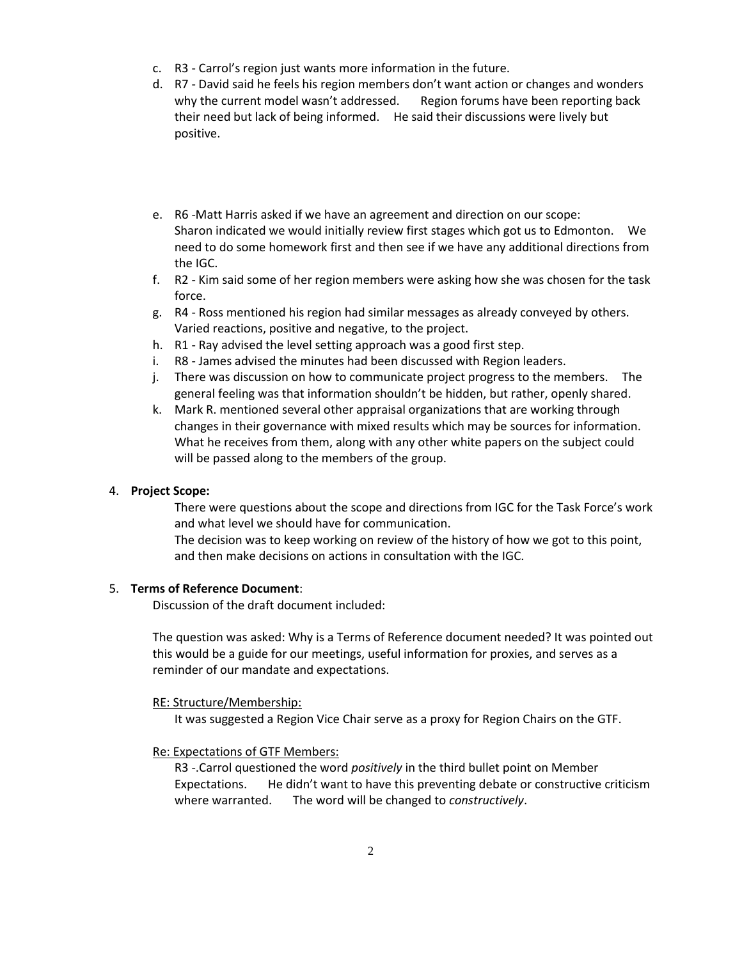- c. R3 Carrol's region just wants more information in the future.
- d. R7 David said he feels his region members don't want action or changes and wonders why the current model wasn't addressed. Region forums have been reporting back their need but lack of being informed. He said their discussions were lively but positive.
- e. R6 -Matt Harris asked if we have an agreement and direction on our scope: Sharon indicated we would initially review first stages which got us to Edmonton. We need to do some homework first and then see if we have any additional directions from the IGC.
- f. R2 Kim said some of her region members were asking how she was chosen for the task force.
- g. R4 Ross mentioned his region had similar messages as already conveyed by others. Varied reactions, positive and negative, to the project.
- h. R1 Ray advised the level setting approach was a good first step.
- i. R8 James advised the minutes had been discussed with Region leaders.
- j. There was discussion on how to communicate project progress to the members. The general feeling was that information shouldn't be hidden, but rather, openly shared.
- k. Mark R. mentioned several other appraisal organizations that are working through changes in their governance with mixed results which may be sources for information. What he receives from them, along with any other white papers on the subject could will be passed along to the members of the group.

### 4. **Project Scope:**

There were questions about the scope and directions from IGC for the Task Force's work and what level we should have for communication.

The decision was to keep working on review of the history of how we got to this point, and then make decisions on actions in consultation with the IGC.

### 5. **Terms of Reference Document**:

Discussion of the draft document included:

The question was asked: Why is a Terms of Reference document needed? It was pointed out this would be a guide for our meetings, useful information for proxies, and serves as a reminder of our mandate and expectations.

### RE: Structure/Membership:

It was suggested a Region Vice Chair serve as a proxy for Region Chairs on the GTF.

### Re: Expectations of GTF Members:

R3 -.Carrol questioned the word *positively* in the third bullet point on Member Expectations. He didn't want to have this preventing debate or constructive criticism where warranted. The word will be changed to *constructively*.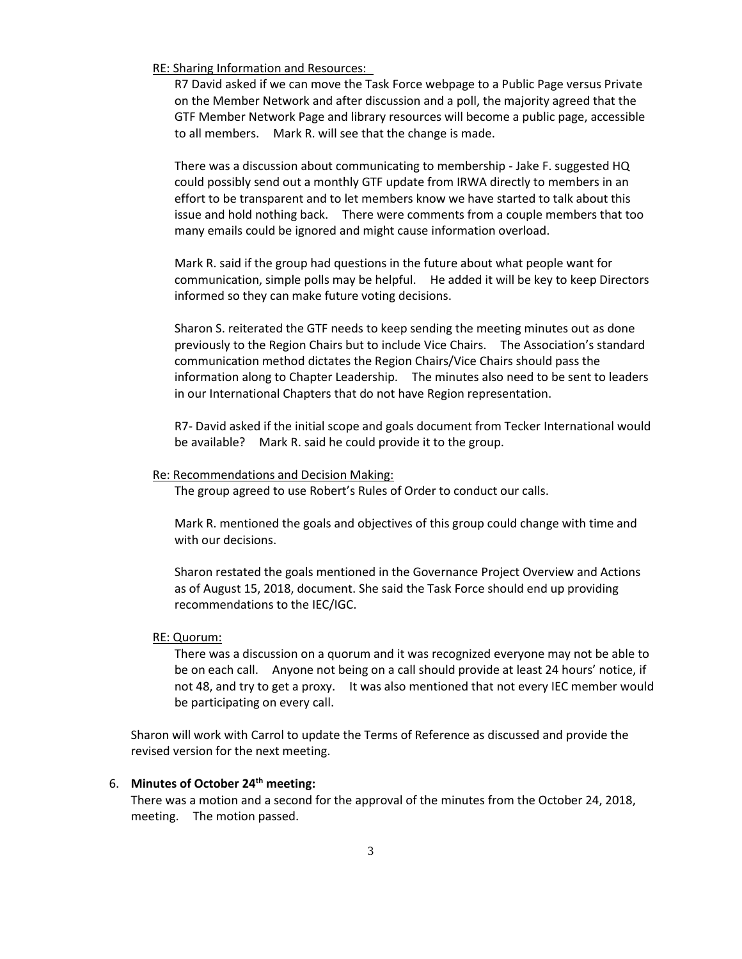RE: Sharing Information and Resources:

R7 David asked if we can move the Task Force webpage to a Public Page versus Private on the Member Network and after discussion and a poll, the majority agreed that the GTF Member Network Page and library resources will become a public page, accessible to all members. Mark R. will see that the change is made.

There was a discussion about communicating to membership - Jake F. suggested HQ could possibly send out a monthly GTF update from IRWA directly to members in an effort to be transparent and to let members know we have started to talk about this issue and hold nothing back. There were comments from a couple members that too many emails could be ignored and might cause information overload.

Mark R. said if the group had questions in the future about what people want for communication, simple polls may be helpful. He added it will be key to keep Directors informed so they can make future voting decisions.

Sharon S. reiterated the GTF needs to keep sending the meeting minutes out as done previously to the Region Chairs but to include Vice Chairs. The Association's standard communication method dictates the Region Chairs/Vice Chairs should pass the information along to Chapter Leadership. The minutes also need to be sent to leaders in our International Chapters that do not have Region representation.

R7- David asked if the initial scope and goals document from Tecker International would be available? Mark R. said he could provide it to the group.

#### Re: Recommendations and Decision Making:

The group agreed to use Robert's Rules of Order to conduct our calls.

Mark R. mentioned the goals and objectives of this group could change with time and with our decisions.

Sharon restated the goals mentioned in the Governance Project Overview and Actions as of August 15, 2018, document. She said the Task Force should end up providing recommendations to the IEC/IGC.

#### RE: Quorum:

There was a discussion on a quorum and it was recognized everyone may not be able to be on each call. Anyone not being on a call should provide at least 24 hours' notice, if not 48, and try to get a proxy. It was also mentioned that not every IEC member would be participating on every call.

Sharon will work with Carrol to update the Terms of Reference as discussed and provide the revised version for the next meeting.

### 6. **Minutes of October 24th meeting:**

There was a motion and a second for the approval of the minutes from the October 24, 2018, meeting. The motion passed.